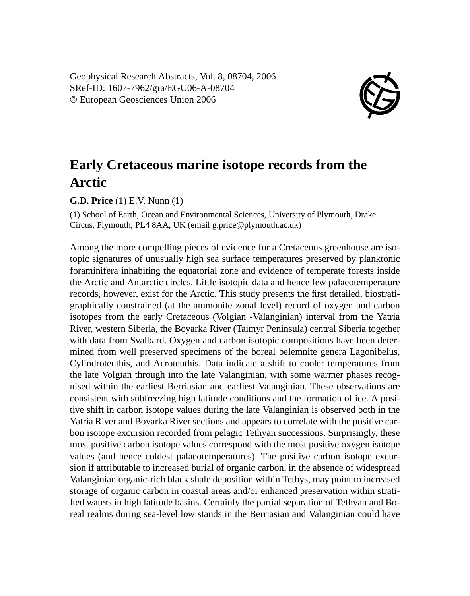Geophysical Research Abstracts, Vol. 8, 08704, 2006 SRef-ID: 1607-7962/gra/EGU06-A-08704 © European Geosciences Union 2006



## **Early Cretaceous marine isotope records from the Arctic**

**G.D. Price** (1) E.V. Nunn (1)

(1) School of Earth, Ocean and Environmental Sciences, University of Plymouth, Drake Circus, Plymouth, PL4 8AA, UK (email g.price@plymouth.ac.uk)

Among the more compelling pieces of evidence for a Cretaceous greenhouse are isotopic signatures of unusually high sea surface temperatures preserved by planktonic foraminifera inhabiting the equatorial zone and evidence of temperate forests inside the Arctic and Antarctic circles. Little isotopic data and hence few palaeotemperature records, however, exist for the Arctic. This study presents the first detailed, biostratigraphically constrained (at the ammonite zonal level) record of oxygen and carbon isotopes from the early Cretaceous (Volgian -Valanginian) interval from the Yatria River, western Siberia, the Boyarka River (Taimyr Peninsula) central Siberia together with data from Svalbard. Oxygen and carbon isotopic compositions have been determined from well preserved specimens of the boreal belemnite genera Lagonibelus, Cylindroteuthis, and Acroteuthis. Data indicate a shift to cooler temperatures from the late Volgian through into the late Valanginian, with some warmer phases recognised within the earliest Berriasian and earliest Valanginian. These observations are consistent with subfreezing high latitude conditions and the formation of ice. A positive shift in carbon isotope values during the late Valanginian is observed both in the Yatria River and Boyarka River sections and appears to correlate with the positive carbon isotope excursion recorded from pelagic Tethyan successions. Surprisingly, these most positive carbon isotope values correspond with the most positive oxygen isotope values (and hence coldest palaeotemperatures). The positive carbon isotope excursion if attributable to increased burial of organic carbon, in the absence of widespread Valanginian organic-rich black shale deposition within Tethys, may point to increased storage of organic carbon in coastal areas and/or enhanced preservation within stratified waters in high latitude basins. Certainly the partial separation of Tethyan and Boreal realms during sea-level low stands in the Berriasian and Valanginian could have